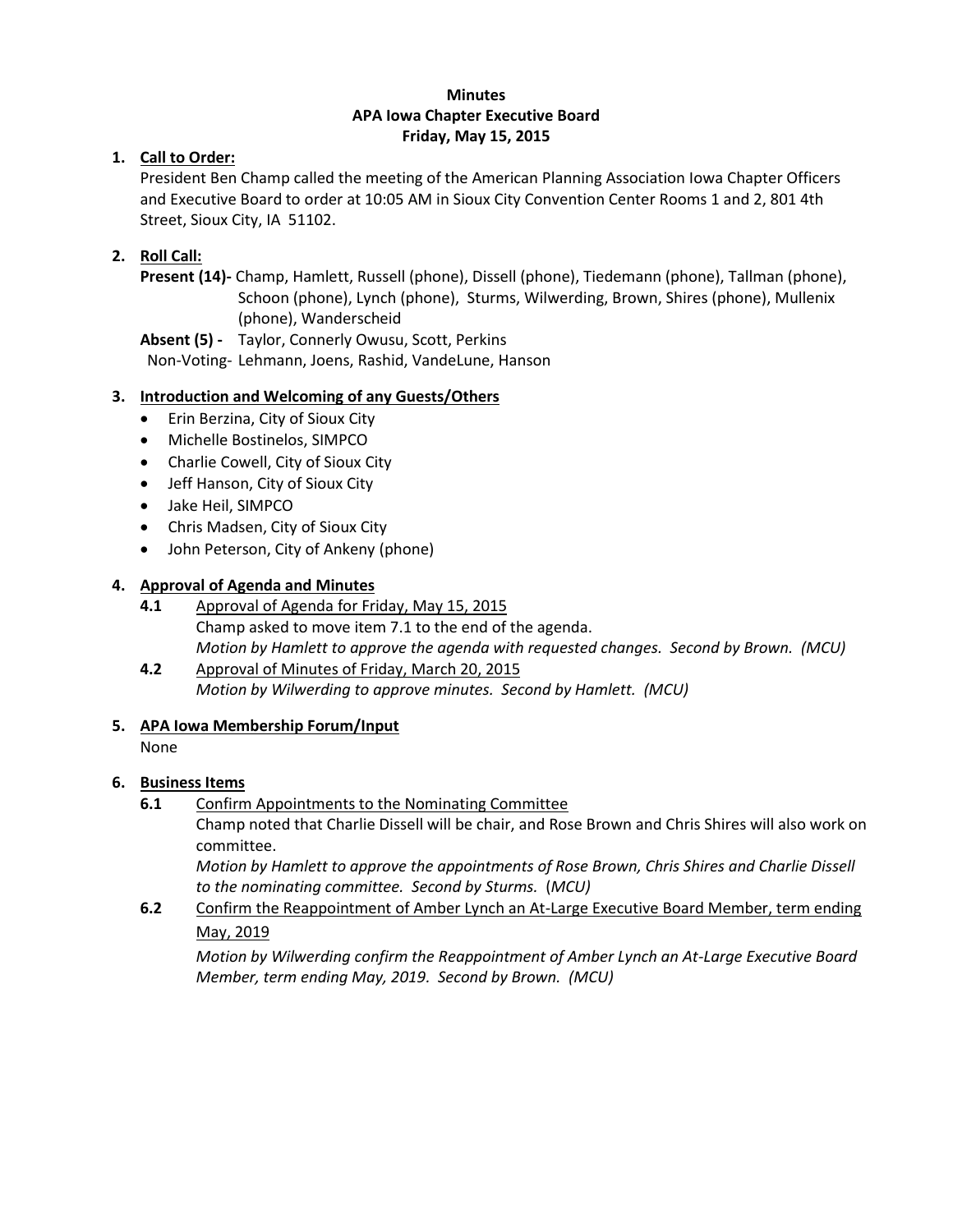#### **Minutes APA Iowa Chapter Executive Board Friday, May 15, 2015**

### **1. Call to Order:**

President Ben Champ called the meeting of the American Planning Association Iowa Chapter Officers and Executive Board to order at 10:05 AM in Sioux City Convention Center Rooms 1 and 2, 801 4th Street, Sioux City, IA 51102.

## **2. Roll Call:**

**Present (14)-** Champ, Hamlett, Russell (phone), Dissell (phone), Tiedemann (phone), Tallman (phone), Schoon (phone), Lynch (phone), Sturms, Wilwerding, Brown, Shires (phone), Mullenix (phone), Wanderscheid

**Absent (5) -** Taylor, Connerly Owusu, Scott, Perkins

Non-Voting- Lehmann, Joens, Rashid, VandeLune, Hanson

## **3. Introduction and Welcoming of any Guests/Others**

- Erin Berzina, City of Sioux City
- Michelle Bostinelos, SIMPCO
- Charlie Cowell, City of Sioux City
- Jeff Hanson, City of Sioux City
- Jake Heil, SIMPCO
- Chris Madsen, City of Sioux City
- John Peterson, City of Ankeny (phone)

### **4. Approval of Agenda and Minutes**

- **4.1** Approval of Agenda for Friday, May 15, 2015 Champ asked to move item 7.1 to the end of the agenda. *Motion by Hamlett to approve the agenda with requested changes. Second by Brown. (MCU)*
- **4.2** Approval of Minutes of Friday, March 20, 2015 *Motion by Wilwerding to approve minutes. Second by Hamlett. (MCU)*
- **5. APA Iowa Membership Forum/Input**

None

#### **6. Business Items**

**6.1** Confirm Appointments to the Nominating Committee

Champ noted that Charlie Dissell will be chair, and Rose Brown and Chris Shires will also work on committee.

*Motion by Hamlett to approve the appointments of Rose Brown, Chris Shires and Charlie Dissell to the nominating committee. Second by Sturms.* (*MCU)*

**6.2** Confirm the Reappointment of Amber Lynch an At-Large Executive Board Member, term ending May, 2019

*Motion by Wilwerding confirm the Reappointment of Amber Lynch an At-Large Executive Board Member, term ending May, 2019. Second by Brown. (MCU)*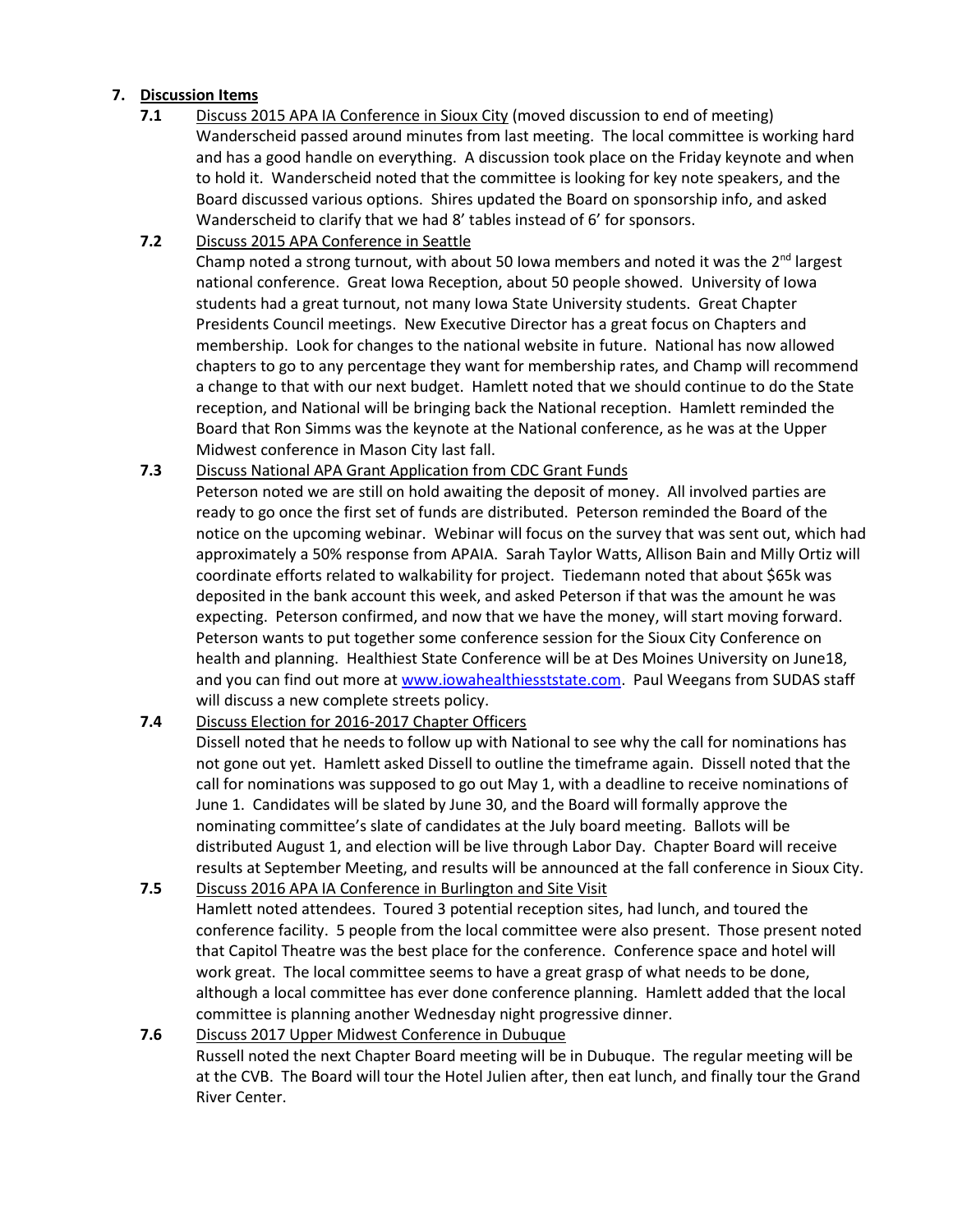#### **7. Discussion Items**

- **7.1** Discuss 2015 APA IA Conference in Sioux City (moved discussion to end of meeting) Wanderscheid passed around minutes from last meeting. The local committee is working hard and has a good handle on everything. A discussion took place on the Friday keynote and when to hold it. Wanderscheid noted that the committee is looking for key note speakers, and the Board discussed various options. Shires updated the Board on sponsorship info, and asked Wanderscheid to clarify that we had 8' tables instead of 6' for sponsors.
- **7.2** Discuss 2015 APA Conference in Seattle Champ noted a strong turnout, with about 50 lowa members and noted it was the 2<sup>nd</sup> largest national conference. Great Iowa Reception, about 50 people showed. University of Iowa students had a great turnout, not many Iowa State University students. Great Chapter

Presidents Council meetings. New Executive Director has a great focus on Chapters and membership. Look for changes to the national website in future. National has now allowed chapters to go to any percentage they want for membership rates, and Champ will recommend a change to that with our next budget. Hamlett noted that we should continue to do the State reception, and National will be bringing back the National reception. Hamlett reminded the Board that Ron Simms was the keynote at the National conference, as he was at the Upper Midwest conference in Mason City last fall.

**7.3** Discuss National APA Grant Application from CDC Grant Funds

Peterson noted we are still on hold awaiting the deposit of money. All involved parties are ready to go once the first set of funds are distributed. Peterson reminded the Board of the notice on the upcoming webinar. Webinar will focus on the survey that was sent out, which had approximately a 50% response from APAIA. Sarah Taylor Watts, Allison Bain and Milly Ortiz will coordinate efforts related to walkability for project. Tiedemann noted that about \$65k was deposited in the bank account this week, and asked Peterson if that was the amount he was expecting. Peterson confirmed, and now that we have the money, will start moving forward. Peterson wants to put together some conference session for the Sioux City Conference on health and planning. Healthiest State Conference will be at Des Moines University on June18, and you can find out more at [www.iowahealthiesststate.com.](http://www.iowahealthiesststate.com/) Paul Weegans from SUDAS staff will discuss a new complete streets policy.

#### **7.4** Discuss Election for 2016-2017 Chapter Officers

Dissell noted that he needs to follow up with National to see why the call for nominations has not gone out yet. Hamlett asked Dissell to outline the timeframe again. Dissell noted that the call for nominations was supposed to go out May 1, with a deadline to receive nominations of June 1. Candidates will be slated by June 30, and the Board will formally approve the nominating committee's slate of candidates at the July board meeting. Ballots will be distributed August 1, and election will be live through Labor Day. Chapter Board will receive results at September Meeting, and results will be announced at the fall conference in Sioux City.

**7.5** Discuss 2016 APA IA Conference in Burlington and Site Visit Hamlett noted attendees. Toured 3 potential reception sites, had lunch, and toured the conference facility. 5 people from the local committee were also present. Those present noted that Capitol Theatre was the best place for the conference. Conference space and hotel will work great. The local committee seems to have a great grasp of what needs to be done, although a local committee has ever done conference planning. Hamlett added that the local committee is planning another Wednesday night progressive dinner.

**7.6** Discuss 2017 Upper Midwest Conference in Dubuque Russell noted the next Chapter Board meeting will be in Dubuque. The regular meeting will be at the CVB. The Board will tour the Hotel Julien after, then eat lunch, and finally tour the Grand River Center.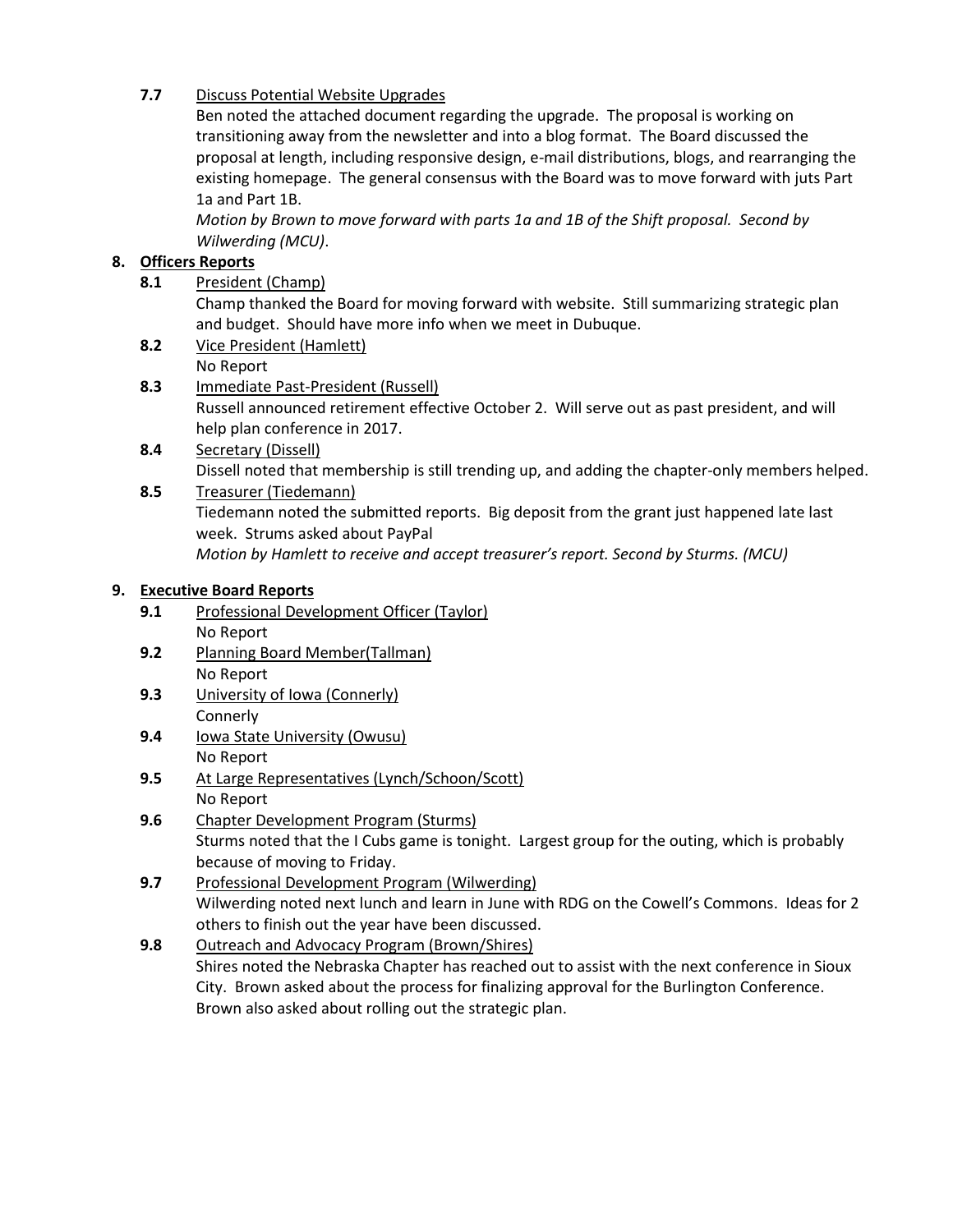# **7.7** Discuss Potential Website Upgrades

Ben noted the attached document regarding the upgrade. The proposal is working on transitioning away from the newsletter and into a blog format. The Board discussed the proposal at length, including responsive design, e-mail distributions, blogs, and rearranging the existing homepage. The general consensus with the Board was to move forward with juts Part 1a and Part 1B.

*Motion by Brown to move forward with parts 1a and 1B of the Shift proposal. Second by Wilwerding (MCU)*.

# **8. Officers Reports**

**8.1** President (Champ)

Champ thanked the Board for moving forward with website. Still summarizing strategic plan and budget. Should have more info when we meet in Dubuque.

- **8.2** Vice President (Hamlett) No Report
- **8.3** Immediate Past-President (Russell)

Russell announced retirement effective October 2. Will serve out as past president, and will help plan conference in 2017.

- **8.4** Secretary (Dissell) Dissell noted that membership is still trending up, and adding the chapter-only members helped.
- **8.5** Treasurer (Tiedemann) Tiedemann noted the submitted reports. Big deposit from the grant just happened late last week. Strums asked about PayPal *Motion by Hamlett to receive and accept treasurer's report. Second by Sturms. (MCU)*

## **9. Executive Board Reports**

- 9.1 Professional Development Officer (Taylor) No Report
- **9.2** Planning Board Member(Tallman) No Report
- **9.3** University of Iowa (Connerly) **Connerly**
- **9.4** Iowa State University (Owusu) No Report
- 9.5 At Large Representatives (Lynch/Schoon/Scott) No Report
- **9.6** Chapter Development Program (Sturms) Sturms noted that the I Cubs game is tonight. Largest group for the outing, which is probably because of moving to Friday.
- **9.7** Professional Development Program (Wilwerding) Wilwerding noted next lunch and learn in June with RDG on the Cowell's Commons. Ideas for 2 others to finish out the year have been discussed.
- **9.8** Outreach and Advocacy Program (Brown/Shires) Shires noted the Nebraska Chapter has reached out to assist with the next conference in Sioux City. Brown asked about the process for finalizing approval for the Burlington Conference. Brown also asked about rolling out the strategic plan.